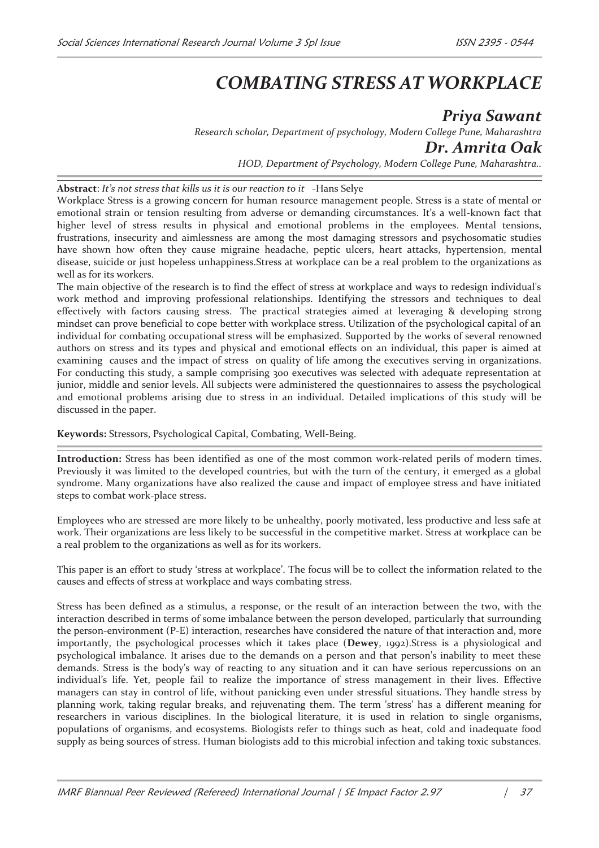## *COMBATING STRESS AT WORKPLACE*

*Priya Sawant Research scholar, Department of psychology, Modern College Pune, Maharashtra Dr. Amrita Oak HOD, Department of Psychology, Modern College Pune, Maharashtra..*

**Abstract**: *It's not stress that kills us it is our reaction to it* -Hans Selye

Workplace Stress is a growing concern for human resource management people. Stress is a state of mental or emotional strain or tension resulting from adverse or demanding circumstances. It's a well-known fact that higher level of stress results in physical and emotional problems in the employees. Mental tensions, frustrations, insecurity and aimlessness are among the most damaging stressors and psychosomatic studies have shown how often they cause migraine headache, peptic ulcers, heart attacks, hypertension, mental disease, suicide or just hopeless unhappiness.Stress at workplace can be a real problem to the organizations as well as for its workers.

The main objective of the research is to find the effect of stress at workplace and ways to redesign individual's work method and improving professional relationships. Identifying the stressors and techniques to deal effectively with factors causing stress. The practical strategies aimed at leveraging & developing strong mindset can prove beneficial to cope better with workplace stress. Utilization of the psychological capital of an individual for combating occupational stress will be emphasized. Supported by the works of several renowned authors on stress and its types and physical and emotional effects on an individual, this paper is aimed at examining causes and the impact of stress on quality of life among the executives serving in organizations. For conducting this study, a sample comprising 300 executives was selected with adequate representation at junior, middle and senior levels. All subjects were administered the questionnaires to assess the psychological and emotional problems arising due to stress in an individual. Detailed implications of this study will be discussed in the paper.

**Keywords:** Stressors, Psychological Capital, Combating, Well-Being.

**Introduction:** Stress has been identified as one of the most common work-related perils of modern times. Previously it was limited to the developed countries, but with the turn of the century, it emerged as a global syndrome. Many organizations have also realized the cause and impact of employee stress and have initiated steps to combat work-place stress.

Employees who are stressed are more likely to be unhealthy, poorly motivated, less productive and less safe at work. Their organizations are less likely to be successful in the competitive market. Stress at workplace can be a real problem to the organizations as well as for its workers.

This paper is an effort to study 'stress at workplace'. The focus will be to collect the information related to the causes and effects of stress at workplace and ways combating stress.

Stress has been defined as a stimulus, a response, or the result of an interaction between the two, with the interaction described in terms of some imbalance between the person developed, particularly that surrounding the person-environment (P-E) interaction, researches have considered the nature of that interaction and, more importantly, the psychological processes which it takes place (**Dewey**, 1992).Stress is a physiological and psychological imbalance. It arises due to the demands on a person and that person's inability to meet these demands. Stress is the body's way of reacting to any situation and it can have serious repercussions on an individual's life. Yet, people fail to realize the importance of stress management in their lives. Effective managers can stay in control of life, without panicking even under stressful situations. They handle stress by planning work, taking regular breaks, and rejuvenating them. The term 'stress' has a different meaning for researchers in various disciplines. In the biological literature, it is used in relation to single organisms, populations of organisms, and ecosystems. Biologists refer to things such as heat, cold and inadequate food supply as being sources of stress. Human biologists add to this microbial infection and taking toxic substances.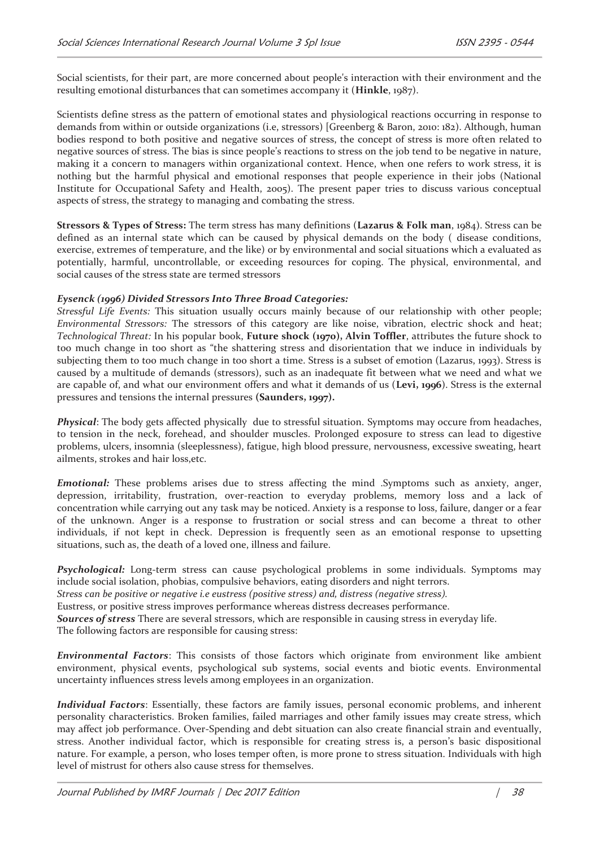Social scientists, for their part, are more concerned about people's interaction with their environment and the resulting emotional disturbances that can sometimes accompany it (**Hinkle**, 1987).

Scientists define stress as the pattern of emotional states and physiological reactions occurring in response to demands from within or outside organizations (i.e, stressors) [Greenberg & Baron, 2010: 182). Although, human bodies respond to both positive and negative sources of stress, the concept of stress is more often related to negative sources of stress. The bias is since people's reactions to stress on the job tend to be negative in nature, making it a concern to managers within organizational context. Hence, when one refers to work stress, it is nothing but the harmful physical and emotional responses that people experience in their jobs (National Institute for Occupational Safety and Health, 2005). The present paper tries to discuss various conceptual aspects of stress, the strategy to managing and combating the stress.

**Stressors & Types of Stress:** The term stress has many definitions (**Lazarus & Folk man**, 1984). Stress can be defined as an internal state which can be caused by physical demands on the body ( disease conditions, exercise, extremes of temperature, and the like) or by environmental and social situations which a evaluated as potentially, harmful, uncontrollable, or exceeding resources for coping. The physical, environmental, and social causes of the stress state are termed stressors

## *Eysenck (1996) Divided Stressors Into Three Broad Categories:*

*Stressful Life Events:* This situation usually occurs mainly because of our relationship with other people; *Environmental Stressors:* The stressors of this category are like noise, vibration, electric shock and heat; *Technological Threat:* In his popular book, **Future shock (1970), Alvin Toffler**, attributes the future shock to too much change in too short as "the shattering stress and disorientation that we induce in individuals by subjecting them to too much change in too short a time. Stress is a subset of emotion (Lazarus, 1993). Stress is caused by a multitude of demands (stressors), such as an inadequate fit between what we need and what we are capable of, and what our environment offers and what it demands of us (**Levi, 1996**). Stress is the external pressures and tensions the internal pressures **(Saunders, 1997).** 

*Physical*: The body gets affected physically due to stressful situation. Symptoms may occure from headaches, to tension in the neck, forehead, and shoulder muscles. Prolonged exposure to stress can lead to digestive problems, ulcers, insomnia (sleeplessness), fatigue, high blood pressure, nervousness, excessive sweating, heart ailments, strokes and hair loss,etc.

*Emotional:* These problems arises due to stress affecting the mind .Symptoms such as anxiety, anger, depression, irritability, frustration, over-reaction to everyday problems, memory loss and a lack of concentration while carrying out any task may be noticed. Anxiety is a response to loss, failure, danger or a fear of the unknown. Anger is a response to frustration or social stress and can become a threat to other individuals, if not kept in check. Depression is frequently seen as an emotional response to upsetting situations, such as, the death of a loved one, illness and failure.

*Psychological:* Long-term stress can cause psychological problems in some individuals. Symptoms may include social isolation, phobias, compulsive behaviors, eating disorders and night terrors.

*Stress can be positive or negative i.e eustress (positive stress) and, distress (negative stress).* 

Eustress, or positive stress improves performance whereas distress decreases performance.

*Sources of stress* There are several stressors, which are responsible in causing stress in everyday life.

The following factors are responsible for causing stress:

*Environmental Factors*: This consists of those factors which originate from environment like ambient environment, physical events, psychological sub systems, social events and biotic events. Environmental uncertainty influences stress levels among employees in an organization.

*Individual Factors*: Essentially, these factors are family issues, personal economic problems, and inherent personality characteristics. Broken families, failed marriages and other family issues may create stress, which may affect job performance. Over-Spending and debt situation can also create financial strain and eventually, stress. Another individual factor, which is responsible for creating stress is, a person's basic dispositional nature. For example, a person, who loses temper often, is more prone to stress situation. Individuals with high level of mistrust for others also cause stress for themselves.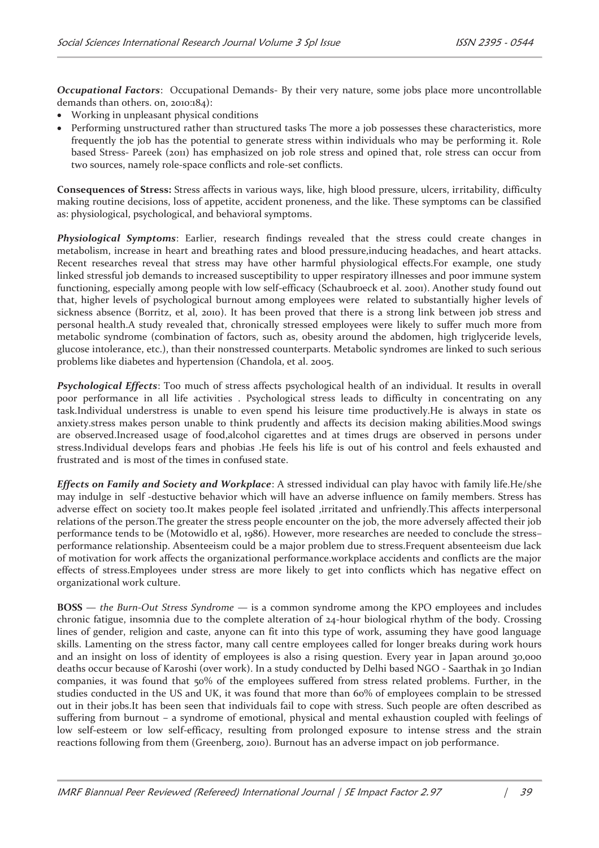*Occupational Factors*: Occupational Demands- By their very nature, some jobs place more uncontrollable demands than others. on, 2010:184):

- · Working in unpleasant physical conditions
- · Performing unstructured rather than structured tasks The more a job possesses these characteristics, more frequently the job has the potential to generate stress within individuals who may be performing it. Role based Stress- Pareek (2011) has emphasized on job role stress and opined that, role stress can occur from two sources, namely role-space conflicts and role-set conflicts.

**Consequences of Stress:** Stress affects in various ways, like, high blood pressure, ulcers, irritability, difficulty making routine decisions, loss of appetite, accident proneness, and the like. These symptoms can be classified as: physiological, psychological, and behavioral symptoms.

*Physiological Symptoms*: Earlier, research findings revealed that the stress could create changes in metabolism, increase in heart and breathing rates and blood pressure,inducing headaches, and heart attacks. Recent researches reveal that stress may have other harmful physiological effects.For example, one study linked stressful job demands to increased susceptibility to upper respiratory illnesses and poor immune system functioning, especially among people with low self-efficacy (Schaubroeck et al. 2001). Another study found out that, higher levels of psychological burnout among employees were related to substantially higher levels of sickness absence (Borritz, et al, 2010). It has been proved that there is a strong link between job stress and personal health.A study revealed that, chronically stressed employees were likely to suffer much more from metabolic syndrome (combination of factors, such as, obesity around the abdomen, high triglyceride levels, glucose intolerance, etc.), than their nonstressed counterparts. Metabolic syndromes are linked to such serious problems like diabetes and hypertension (Chandola, et al. 2005.

*Psychological Effects*: Too much of stress affects psychological health of an individual. It results in overall poor performance in all life activities . Psychological stress leads to difficulty in concentrating on any task.Individual understress is unable to even spend his leisure time productively.He is always in state os anxiety.stress makes person unable to think prudently and affects its decision making abilities.Mood swings are observed.Increased usage of food,alcohol cigarettes and at times drugs are observed in persons under stress.Individual develops fears and phobias .He feels his life is out of his control and feels exhausted and frustrated and is most of the times in confused state.

*Effects on Family and Society and Workplace*: A stressed individual can play havoc with family life.He/she may indulge in self -destuctive behavior which will have an adverse influence on family members. Stress has adverse effect on society too.It makes people feel isolated ,irritated and unfriendly.This affects interpersonal relations of the person.The greater the stress people encounter on the job, the more adversely affected their job performance tends to be (Motowidlo et al, 1986). However, more researches are needed to conclude the stress– performance relationship. Absenteeism could be a major problem due to stress.Frequent absenteeism due lack of motivation for work affects the organizational performance.workplace accidents and conflicts are the major effects of stress.Employees under stress are more likely to get into conflicts which has negative effect on organizational work culture.

**BOSS** — *the Burn-Out Stress Syndrome* — is a common syndrome among the KPO employees and includes chronic fatigue, insomnia due to the complete alteration of 24-hour biological rhythm of the body. Crossing lines of gender, religion and caste, anyone can fit into this type of work, assuming they have good language skills. Lamenting on the stress factor, many call centre employees called for longer breaks during work hours and an insight on loss of identity of employees is also a rising question. Every year in Japan around 30,000 deaths occur because of Karoshi (over work). In a study conducted by Delhi based NGO - Saarthak in 30 Indian companies, it was found that 50% of the employees suffered from stress related problems. Further, in the studies conducted in the US and UK, it was found that more than 60% of employees complain to be stressed out in their jobs.It has been seen that individuals fail to cope with stress. Such people are often described as suffering from burnout – a syndrome of emotional, physical and mental exhaustion coupled with feelings of low self-esteem or low self-efficacy, resulting from prolonged exposure to intense stress and the strain reactions following from them (Greenberg, 2010). Burnout has an adverse impact on job performance.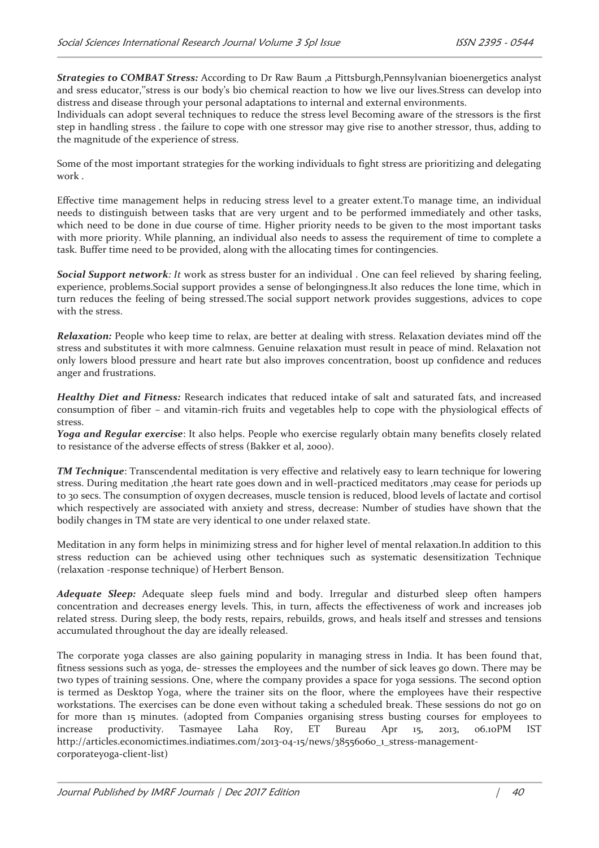*Strategies to COMBAT Stress:* According to Dr Raw Baum ,a Pittsburgh,Pennsylvanian bioenergetics analyst and sress educator,''stress is our body's bio chemical reaction to how we live our lives.Stress can develop into distress and disease through your personal adaptations to internal and external environments.

Individuals can adopt several techniques to reduce the stress level Becoming aware of the stressors is the first step in handling stress . the failure to cope with one stressor may give rise to another stressor, thus, adding to the magnitude of the experience of stress.

Some of the most important strategies for the working individuals to fight stress are prioritizing and delegating work .

Effective time management helps in reducing stress level to a greater extent.To manage time, an individual needs to distinguish between tasks that are very urgent and to be performed immediately and other tasks, which need to be done in due course of time. Higher priority needs to be given to the most important tasks with more priority. While planning, an individual also needs to assess the requirement of time to complete a task. Buffer time need to be provided, along with the allocating times for contingencies.

*Social Support network: It* work as stress buster for an individual . One can feel relieved by sharing feeling, experience, problems.Social support provides a sense of belongingness.It also reduces the lone time, which in turn reduces the feeling of being stressed.The social support network provides suggestions, advices to cope with the stress.

*Relaxation:* People who keep time to relax, are better at dealing with stress. Relaxation deviates mind off the stress and substitutes it with more calmness. Genuine relaxation must result in peace of mind. Relaxation not only lowers blood pressure and heart rate but also improves concentration, boost up confidence and reduces anger and frustrations.

*Healthy Diet and Fitness:* Research indicates that reduced intake of salt and saturated fats, and increased consumption of fiber – and vitamin-rich fruits and vegetables help to cope with the physiological effects of stress.

*Yoga and Regular exercise*: It also helps. People who exercise regularly obtain many benefits closely related to resistance of the adverse effects of stress (Bakker et al, 2000).

*TM Technique*: Transcendental meditation is very effective and relatively easy to learn technique for lowering stress. During meditation ,the heart rate goes down and in well-practiced meditators ,may cease for periods up to 30 secs. The consumption of oxygen decreases, muscle tension is reduced, blood levels of lactate and cortisol which respectively are associated with anxiety and stress, decrease: Number of studies have shown that the bodily changes in TM state are very identical to one under relaxed state.

Meditation in any form helps in minimizing stress and for higher level of mental relaxation.In addition to this stress reduction can be achieved using other techniques such as systematic desensitization Technique (relaxation -response technique) of Herbert Benson.

*Adequate Sleep:* Adequate sleep fuels mind and body. Irregular and disturbed sleep often hampers concentration and decreases energy levels. This, in turn, affects the effectiveness of work and increases job related stress. During sleep, the body rests, repairs, rebuilds, grows, and heals itself and stresses and tensions accumulated throughout the day are ideally released.

The corporate yoga classes are also gaining popularity in managing stress in India. It has been found that, fitness sessions such as yoga, de- stresses the employees and the number of sick leaves go down. There may be two types of training sessions. One, where the company provides a space for yoga sessions. The second option is termed as Desktop Yoga, where the trainer sits on the floor, where the employees have their respective workstations. The exercises can be done even without taking a scheduled break. These sessions do not go on for more than 15 minutes. (adopted from Companies organising stress busting courses for employees to increase productivity. Tasmayee Laha Roy, ET Bureau Apr 15, 2013, 06.10PM IST http://articles.economictimes.indiatimes.com/2013-04-15/news/38556060\_1\_stress-managementcorporateyoga-client-list)